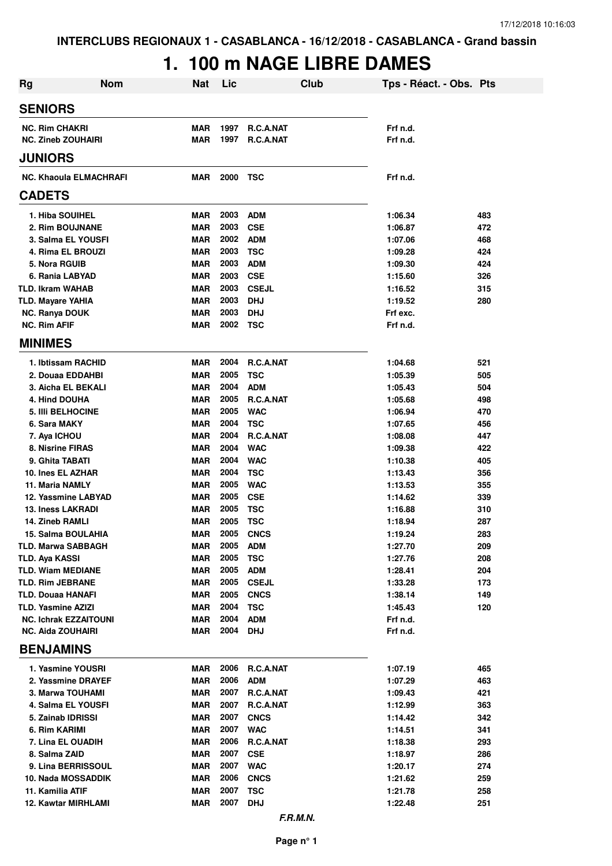# **1. 100 m NAGE LIBRE DAMES**

| Rg                                                       | <b>Nom</b> | <b>Nat</b>        | Lic          |                          | Club | Tps - Réact. - Obs. Pts |     |
|----------------------------------------------------------|------------|-------------------|--------------|--------------------------|------|-------------------------|-----|
| <b>SENIORS</b>                                           |            |                   |              |                          |      |                         |     |
| <b>NC. Rim CHAKRI</b>                                    |            | <b>MAR</b>        | 1997         | R.C.A.NAT                |      | Frf n.d.                |     |
| <b>NC. Zineb ZOUHAIRI</b>                                |            | <b>MAR</b>        | 1997         | <b>R.C.A.NAT</b>         |      | Frf n.d.                |     |
| <b>JUNIORS</b>                                           |            |                   |              |                          |      |                         |     |
| <b>NC. Khaoula ELMACHRAFI</b>                            |            | <b>MAR</b>        | 2000         | TSC                      |      | Frf n.d.                |     |
| <b>CADETS</b>                                            |            |                   |              |                          |      |                         |     |
| 1. Hiba SOUIHEL                                          |            | <b>MAR</b>        | 2003         | <b>ADM</b>               |      | 1:06.34                 | 483 |
| 2. Rim BOUJNANE                                          |            | <b>MAR</b>        | 2003         | <b>CSE</b>               |      | 1:06.87                 | 472 |
| 3. Salma EL YOUSFI                                       |            | <b>MAR</b>        | 2002         | <b>ADM</b>               |      | 1:07.06                 | 468 |
| 4. Rima EL BROUZI                                        |            | <b>MAR</b>        | 2003         | <b>TSC</b>               |      | 1:09.28                 | 424 |
| 5. Nora RGUIB                                            |            | <b>MAR</b>        | 2003         | <b>ADM</b>               |      | 1:09.30                 | 424 |
| 6. Rania LABYAD                                          |            | <b>MAR</b>        | 2003         | <b>CSE</b>               |      | 1:15.60                 | 326 |
| <b>TLD. Ikram WAHAB</b>                                  |            | <b>MAR</b>        | 2003         | <b>CSEJL</b>             |      | 1:16.52                 | 315 |
| <b>TLD. Mayare YAHIA</b>                                 |            | <b>MAR</b>        | 2003         | <b>DHJ</b>               |      | 1:19.52                 | 280 |
| <b>NC. Ranya DOUK</b>                                    |            | <b>MAR</b>        | 2003         | <b>DHJ</b>               |      | Frf exc.                |     |
| <b>NC. Rim AFIF</b>                                      |            | <b>MAR</b>        | 2002         | TSC                      |      | Frf n.d.                |     |
| <b>MINIMES</b>                                           |            |                   |              |                          |      |                         |     |
| 1. Ibtissam RACHID                                       |            | <b>MAR</b>        | 2004         | R.C.A.NAT                |      | 1:04.68                 | 521 |
| 2. Douaa EDDAHBI                                         |            | <b>MAR</b>        | 2005         | <b>TSC</b>               |      | 1:05.39                 | 505 |
| 3. Aicha EL BEKALI                                       |            | <b>MAR</b>        | 2004         | <b>ADM</b>               |      | 1:05.43                 | 504 |
| 4. Hind DOUHA                                            |            | <b>MAR</b>        | 2005         | R.C.A.NAT                |      | 1:05.68                 | 498 |
| <b>5. IIII BELHOCINE</b>                                 |            | <b>MAR</b>        | 2005         | <b>WAC</b>               |      | 1:06.94                 | 470 |
| 6. Sara MAKY                                             |            | <b>MAR</b>        | 2004         | <b>TSC</b>               |      | 1:07.65                 | 456 |
| 7. Aya ICHOU                                             |            | <b>MAR</b>        | 2004         | R.C.A.NAT                |      | 1:08.08                 | 447 |
| 8. Nisrine FIRAS                                         |            | <b>MAR</b>        | 2004         | <b>WAC</b>               |      | 1:09.38                 | 422 |
| 9. Ghita TABATI                                          |            | <b>MAR</b>        | 2004         | <b>WAC</b>               |      | 1:10.38                 | 405 |
| 10. Ines EL AZHAR                                        |            | <b>MAR</b>        | 2004         | <b>TSC</b>               |      | 1:13.43                 | 356 |
| 11. Maria NAMLY                                          |            | <b>MAR</b>        | 2005         | <b>WAC</b>               |      | 1:13.53                 | 355 |
| 12. Yassmine LABYAD                                      |            | <b>MAR</b>        | 2005         | <b>CSE</b>               |      | 1:14.62                 | 339 |
| <b>13. Iness LAKRADI</b>                                 |            | <b>MAR</b>        | 2005         | <b>TSC</b>               |      | 1:16.88                 | 310 |
| 14. Zineb RAMLI                                          |            | <b>MAR</b>        | 2005         | <b>TSC</b>               |      | 1:18.94                 | 287 |
| 15. Salma BOULAHIA                                       |            | <b>MAR</b>        | 2005         | <b>CNCS</b>              |      | 1:19.24                 | 283 |
| <b>TLD. Marwa SABBAGH</b>                                |            | <b>MAR</b>        | 2005         | <b>ADM</b>               |      | 1:27.70                 | 209 |
| <b>TLD. Aya KASSI</b>                                    |            | <b>MAR</b>        | 2005         | <b>TSC</b>               |      | 1:27.76                 | 208 |
| <b>TLD. Wiam MEDIANE</b>                                 |            | <b>MAR</b>        | 2005         | <b>ADM</b>               |      | 1:28.41                 | 204 |
| <b>TLD. Rim JEBRANE</b>                                  |            | <b>MAR</b>        | 2005         | <b>CSEJL</b>             |      | 1:33.28                 | 173 |
| <b>TLD. Douaa HANAFI</b>                                 |            | <b>MAR</b>        | 2005         | <b>CNCS</b>              |      | 1:38.14                 | 149 |
| <b>TLD. Yasmine AZIZI</b>                                |            | <b>MAR</b>        | 2004<br>2004 | <b>TSC</b>               |      | 1:45.43                 | 120 |
| <b>NC. Ichrak EZZAITOUNI</b><br><b>NC. Aida ZOUHAIRI</b> |            | <b>MAR</b><br>MAR | 2004         | <b>ADM</b><br><b>DHJ</b> |      | Frf n.d.<br>Frf n.d.    |     |
| <b>BENJAMINS</b>                                         |            |                   |              |                          |      |                         |     |
| 1. Yasmine YOUSRI                                        |            | MAR               |              | 2006 R.C.A.NAT           |      | 1:07.19                 | 465 |
| 2. Yassmine DRAYEF                                       |            | <b>MAR</b>        | 2006         | <b>ADM</b>               |      | 1:07.29                 | 463 |
| 3. Marwa TOUHAMI                                         |            | <b>MAR</b>        | 2007         | R.C.A.NAT                |      | 1:09.43                 | 421 |
| 4. Salma EL YOUSFI                                       |            | <b>MAR</b>        | 2007         | R.C.A.NAT                |      | 1:12.99                 | 363 |
| 5. Zainab IDRISSI                                        |            | <b>MAR</b>        | 2007         | <b>CNCS</b>              |      | 1:14.42                 | 342 |
| 6. Rim KARIMI                                            |            | <b>MAR</b>        | 2007         | <b>WAC</b>               |      | 1:14.51                 | 341 |
| 7. Lina EL OUADIH                                        |            | <b>MAR</b>        | 2006         | R.C.A.NAT                |      | 1:18.38                 | 293 |
| 8. Salma ZAID                                            |            | <b>MAR</b>        | 2007         | <b>CSE</b>               |      | 1:18.97                 | 286 |
| 9. Lina BERRISSOUL                                       |            | <b>MAR</b>        | 2007         | <b>WAC</b>               |      | 1:20.17                 | 274 |
| 10. Nada MOSSADDIK                                       |            | <b>MAR</b>        | 2006         | <b>CNCS</b>              |      | 1:21.62                 | 259 |
| 11. Kamilia ATIF                                         |            | <b>MAR</b>        | 2007         | <b>TSC</b>               |      | 1:21.78                 | 258 |
| <b>12. Kawtar MIRHLAMI</b>                               |            | <b>MAR</b>        | 2007         | <b>DHJ</b>               |      | 1:22.48                 | 251 |
|                                                          |            |                   |              | F.R.M.N.                 |      |                         |     |

**Page n° 1**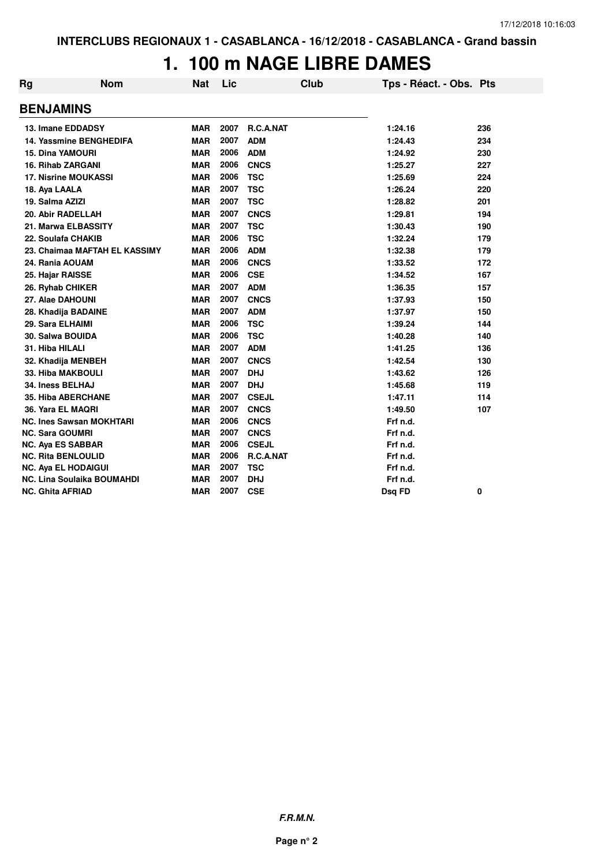### **1. 100 m NAGE LIBRE DAMES**

| Rg | <b>Nom</b>                        | <b>Nat</b> | Lic  | <b>Club</b>  | Tps - Réact. - Obs. Pts |     |
|----|-----------------------------------|------------|------|--------------|-------------------------|-----|
|    | <b>BENJAMINS</b>                  |            |      |              |                         |     |
|    | 13. Imane EDDADSY                 | <b>MAR</b> | 2007 | R.C.A.NAT    | 1:24.16                 | 236 |
|    | <b>14. Yassmine BENGHEDIFA</b>    | <b>MAR</b> | 2007 | <b>ADM</b>   | 1:24.43                 | 234 |
|    | <b>15. Dina YAMOURI</b>           | <b>MAR</b> | 2006 | <b>ADM</b>   | 1:24.92                 | 230 |
|    | <b>16. Rihab ZARGANI</b>          | <b>MAR</b> | 2006 | <b>CNCS</b>  | 1:25.27                 | 227 |
|    | <b>17. Nisrine MOUKASSI</b>       | <b>MAR</b> | 2006 | <b>TSC</b>   | 1:25.69                 | 224 |
|    | 18. Aya LAALA                     | <b>MAR</b> | 2007 | <b>TSC</b>   | 1:26.24                 | 220 |
|    | 19. Salma AZIZI                   | <b>MAR</b> | 2007 | <b>TSC</b>   | 1:28.82                 | 201 |
|    | 20. Abir RADELLAH                 | <b>MAR</b> | 2007 | <b>CNCS</b>  | 1:29.81                 | 194 |
|    | 21. Marwa ELBASSITY               | <b>MAR</b> | 2007 | <b>TSC</b>   | 1:30.43                 | 190 |
|    | 22. Soulafa CHAKIB                | <b>MAR</b> | 2006 | <b>TSC</b>   | 1:32.24                 | 179 |
|    | 23. Chaimaa MAFTAH EL KASSIMY     | <b>MAR</b> | 2006 | <b>ADM</b>   | 1:32.38                 | 179 |
|    | 24. Rania AOUAM                   | <b>MAR</b> | 2006 | <b>CNCS</b>  | 1:33.52                 | 172 |
|    | 25. Hajar RAISSE                  | <b>MAR</b> | 2006 | <b>CSE</b>   | 1:34.52                 | 167 |
|    | 26. Ryhab CHIKER                  | <b>MAR</b> | 2007 | <b>ADM</b>   | 1:36.35                 | 157 |
|    | 27. Alae DAHOUNI                  | <b>MAR</b> | 2007 | <b>CNCS</b>  | 1:37.93                 | 150 |
|    | 28. Khadija BADAINE               | <b>MAR</b> | 2007 | <b>ADM</b>   | 1:37.97                 | 150 |
|    | 29. Sara ELHAIMI                  | <b>MAR</b> | 2006 | <b>TSC</b>   | 1:39.24                 | 144 |
|    | 30. Salwa BOUIDA                  | <b>MAR</b> | 2006 | <b>TSC</b>   | 1:40.28                 | 140 |
|    | 31. Hiba HILALI                   | <b>MAR</b> | 2007 | <b>ADM</b>   | 1:41.25                 | 136 |
|    | 32. Khadija MENBEH                | <b>MAR</b> | 2007 | <b>CNCS</b>  | 1:42.54                 | 130 |
|    | 33. Hiba MAKBOULI                 | <b>MAR</b> | 2007 | <b>DHJ</b>   | 1:43.62                 | 126 |
|    | 34. Iness BELHAJ                  | <b>MAR</b> | 2007 | <b>DHJ</b>   | 1:45.68                 | 119 |
|    | <b>35. Hiba ABERCHANE</b>         | <b>MAR</b> | 2007 | <b>CSEJL</b> | 1:47.11                 | 114 |
|    | 36. Yara EL MAQRI                 | <b>MAR</b> | 2007 | <b>CNCS</b>  | 1:49.50                 | 107 |
|    | <b>NC. Ines Sawsan MOKHTARI</b>   | <b>MAR</b> | 2006 | <b>CNCS</b>  | Frf n.d.                |     |
|    | <b>NC. Sara GOUMRI</b>            | <b>MAR</b> | 2007 | <b>CNCS</b>  | Frf n.d.                |     |
|    | <b>NC. Aya ES SABBAR</b>          | <b>MAR</b> | 2006 | <b>CSEJL</b> | Frf n.d.                |     |
|    | <b>NC. Rita BENLOULID</b>         | <b>MAR</b> | 2006 | R.C.A.NAT    | Frf n.d.                |     |
|    | <b>NC. Aya EL HODAIGUI</b>        | <b>MAR</b> | 2007 | <b>TSC</b>   | Frf n.d.                |     |
|    | <b>NC. Lina Soulaika BOUMAHDI</b> | <b>MAR</b> | 2007 | <b>DHJ</b>   | Frf n.d.                |     |
|    | <b>NC. Ghita AFRIAD</b>           | <b>MAR</b> | 2007 | <b>CSE</b>   | Dsq FD                  | 0   |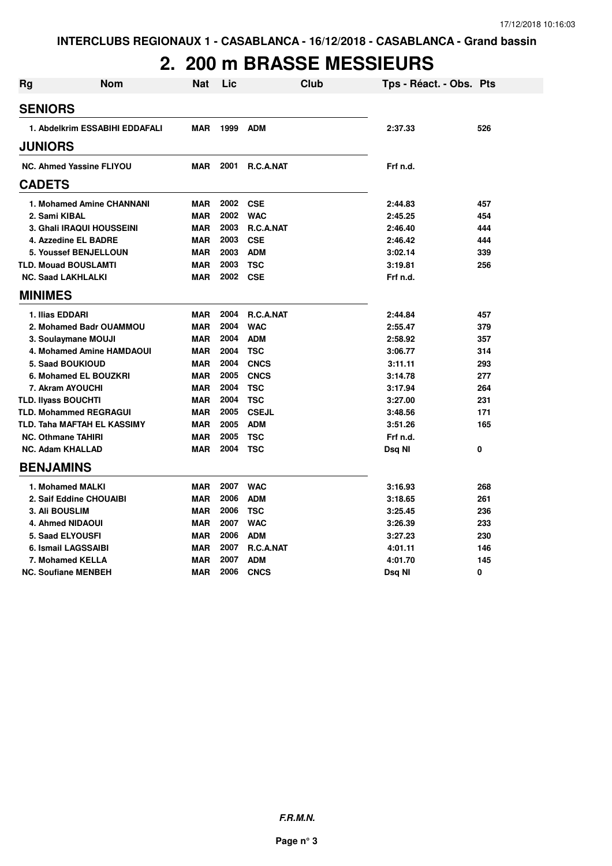#### **2. 200 m BRASSE MESSIEURS**

| <b>Rg</b> | Nom                                | Nat        | Lic      | Club             | Tps - Réact. - Obs. Pts |     |
|-----------|------------------------------------|------------|----------|------------------|-------------------------|-----|
|           | <b>SENIORS</b>                     |            |          |                  |                         |     |
|           | 1. Abdelkrim ESSABIHI EDDAFALI     | <b>MAR</b> | 1999     | <b>ADM</b>       | 2:37.33                 | 526 |
|           | <b>JUNIORS</b>                     |            |          |                  |                         |     |
|           |                                    |            |          |                  |                         |     |
|           | <b>NC. Ahmed Yassine FLIYOU</b>    | MAR        | 2001     | <b>R.C.A.NAT</b> | Frf n.d.                |     |
|           | <b>CADETS</b>                      |            |          |                  |                         |     |
|           | 1. Mohamed Amine CHANNANI          | MAR        | 2002 CSE |                  | 2:44.83                 | 457 |
|           | 2. Sami KIBAL                      | <b>MAR</b> | 2002     | <b>WAC</b>       | 2:45.25                 | 454 |
|           | 3. Ghali IRAQUI HOUSSEINI          | <b>MAR</b> | 2003     | <b>R.C.A.NAT</b> | 2:46.40                 | 444 |
|           | 4. Azzedine EL BADRE               | <b>MAR</b> | 2003     | <b>CSE</b>       | 2:46.42                 | 444 |
|           | <b>5. Youssef BENJELLOUN</b>       | <b>MAR</b> | 2003     | <b>ADM</b>       | 3:02.14                 | 339 |
|           | <b>TLD. Mouad BOUSLAMTI</b>        | <b>MAR</b> | 2003     | <b>TSC</b>       | 3:19.81                 | 256 |
|           | <b>NC. Saad LAKHLALKI</b>          | <b>MAR</b> | 2002 CSE |                  | Frf n.d.                |     |
|           | <b>MINIMES</b>                     |            |          |                  |                         |     |
|           | 1. Ilias EDDARI                    | <b>MAR</b> | 2004     | <b>R.C.A.NAT</b> | 2:44.84                 | 457 |
|           | 2. Mohamed Badr OUAMMOU            | <b>MAR</b> | 2004     | <b>WAC</b>       | 2:55.47                 | 379 |
|           | 3. Soulaymane MOUJI                | <b>MAR</b> | 2004     | <b>ADM</b>       | 2:58.92                 | 357 |
|           | <b>4. Mohamed Amine HAMDAOUI</b>   | <b>MAR</b> | 2004     | <b>TSC</b>       | 3:06.77                 | 314 |
|           | <b>5. Saad BOUKIOUD</b>            | <b>MAR</b> | 2004     | <b>CNCS</b>      | 3:11.11                 | 293 |
|           | 6. Mohamed EL BOUZKRI              | <b>MAR</b> | 2005     | <b>CNCS</b>      | 3:14.78                 | 277 |
|           | 7. Akram AYOUCHI                   | <b>MAR</b> | 2004     | <b>TSC</b>       | 3:17.94                 | 264 |
|           | <b>TLD. Ilyass BOUCHTI</b>         | <b>MAR</b> | 2004     | <b>TSC</b>       | 3:27.00                 | 231 |
|           | <b>TLD. Mohammed REGRAGUI</b>      | <b>MAR</b> | 2005     | <b>CSEJL</b>     | 3:48.56                 | 171 |
|           | <b>TLD. Taha MAFTAH EL KASSIMY</b> | <b>MAR</b> | 2005     | <b>ADM</b>       | 3:51.26                 | 165 |
|           | <b>NC. Othmane TAHIRI</b>          | <b>MAR</b> | 2005     | <b>TSC</b>       | Frf n.d.                |     |
|           | <b>NC. Adam KHALLAD</b>            | <b>MAR</b> | 2004     | <b>TSC</b>       | Dsq NI                  | 0   |
|           | <b>BENJAMINS</b>                   |            |          |                  |                         |     |
|           | 1. Mohamed MALKI                   | <b>MAR</b> | 2007     | <b>WAC</b>       | 3:16.93                 | 268 |
|           | 2. Saif Eddine CHOUAIBI            | <b>MAR</b> | 2006     | <b>ADM</b>       | 3:18.65                 | 261 |
|           | <b>3. Ali BOUSLIM</b>              | <b>MAR</b> | 2006     | <b>TSC</b>       | 3:25.45                 | 236 |
|           | 4. Ahmed NIDAOUI                   | <b>MAR</b> | 2007     | <b>WAC</b>       | 3:26.39                 | 233 |
|           | <b>5. Saad ELYOUSFI</b>            | <b>MAR</b> | 2006     | <b>ADM</b>       | 3:27.23                 | 230 |
|           | 6. Ismail LAGSSAIBI                | <b>MAR</b> | 2007     | R.C.A.NAT        | 4:01.11                 | 146 |
|           | 7. Mohamed KELLA                   | <b>MAR</b> | 2007     | <b>ADM</b>       | 4:01.70                 | 145 |
|           | <b>NC. Soufiane MENBEH</b>         | <b>MAR</b> | 2006     | <b>CNCS</b>      | Dsq NI                  | 0   |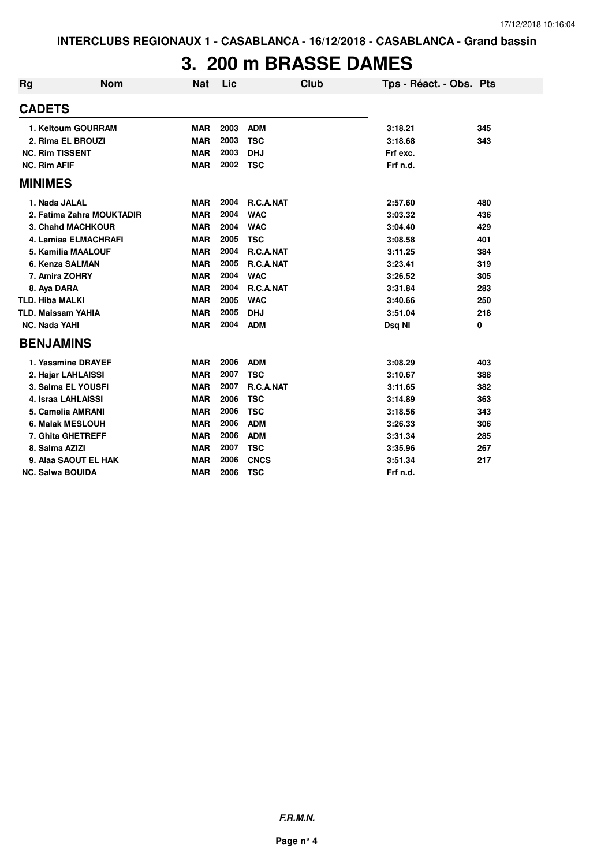#### **3. 200 m BRASSE DAMES**

| <b>Rg</b>              | <b>Nom</b>                | <b>Nat</b> | Lic  |             | Club | Tps - Réact. - Obs. Pts |     |
|------------------------|---------------------------|------------|------|-------------|------|-------------------------|-----|
| <b>CADETS</b>          |                           |            |      |             |      |                         |     |
|                        | 1. Keltoum GOURRAM        | <b>MAR</b> | 2003 | <b>ADM</b>  |      | 3:18.21                 | 345 |
|                        | 2. Rima EL BROUZI         | <b>MAR</b> | 2003 | <b>TSC</b>  |      | 3:18.68                 | 343 |
| <b>NC. Rim TISSENT</b> |                           | <b>MAR</b> | 2003 | <b>DHJ</b>  |      | Frf exc.                |     |
| <b>NC. Rim AFIF</b>    |                           | <b>MAR</b> | 2002 | <b>TSC</b>  |      | Frf n.d.                |     |
| <b>MINIMES</b>         |                           |            |      |             |      |                         |     |
| 1. Nada JALAL          |                           | MAR        | 2004 | R.C.A.NAT   |      | 2:57.60                 | 480 |
|                        | 2. Fatima Zahra MOUKTADIR | <b>MAR</b> | 2004 | <b>WAC</b>  |      | 3:03.32                 | 436 |
|                        | 3. Chahd MACHKOUR         | <b>MAR</b> | 2004 | <b>WAC</b>  |      | 3:04.40                 | 429 |
|                        | 4. Lamiaa ELMACHRAFI      | <b>MAR</b> | 2005 | <b>TSC</b>  |      | 3:08.58                 | 401 |
|                        | <b>5. Kamilia MAALOUF</b> | <b>MAR</b> | 2004 | R.C.A.NAT   |      | 3:11.25                 | 384 |
|                        | 6. Kenza SALMAN           | <b>MAR</b> | 2005 | R.C.A.NAT   |      | 3:23.41                 | 319 |
|                        | 7. Amira ZOHRY            | <b>MAR</b> | 2004 | <b>WAC</b>  |      | 3:26.52                 | 305 |
| 8. Aya DARA            |                           | <b>MAR</b> | 2004 | R.C.A.NAT   |      | 3:31.84                 | 283 |
| <b>TLD. Hiba MALKI</b> |                           | <b>MAR</b> | 2005 | <b>WAC</b>  |      | 3:40.66                 | 250 |
|                        | <b>TLD. Maissam YAHIA</b> | <b>MAR</b> | 2005 | <b>DHJ</b>  |      | 3:51.04                 | 218 |
| <b>NC. Nada YAHI</b>   |                           | <b>MAR</b> | 2004 | <b>ADM</b>  |      | Dsq NI                  | 0   |
| <b>BENJAMINS</b>       |                           |            |      |             |      |                         |     |
|                        | 1. Yassmine DRAYEF        | <b>MAR</b> | 2006 | <b>ADM</b>  |      | 3:08.29                 | 403 |
|                        | 2. Hajar LAHLAISSI        | <b>MAR</b> | 2007 | <b>TSC</b>  |      | 3:10.67                 | 388 |
|                        | 3. Salma EL YOUSFI        | <b>MAR</b> | 2007 | R.C.A.NAT   |      | 3:11.65                 | 382 |
|                        | 4. Israa LAHLAISSI        | <b>MAR</b> | 2006 | <b>TSC</b>  |      | 3:14.89                 | 363 |
|                        | 5. Camelia AMRANI         | <b>MAR</b> | 2006 | <b>TSC</b>  |      | 3:18.56                 | 343 |
|                        | 6. Malak MESLOUH          | <b>MAR</b> | 2006 | <b>ADM</b>  |      | 3:26.33                 | 306 |
|                        | 7. Ghita GHETREFF         | <b>MAR</b> | 2006 | <b>ADM</b>  |      | 3:31.34                 | 285 |
| 8. Salma AZIZI         |                           | <b>MAR</b> | 2007 | <b>TSC</b>  |      | 3:35.96                 | 267 |
|                        | 9. Alaa SAOUT EL HAK      | <b>MAR</b> | 2006 | <b>CNCS</b> |      | 3:51.34                 | 217 |
|                        | <b>NC. Salwa BOUIDA</b>   | <b>MAR</b> | 2006 | <b>TSC</b>  |      | Frf n.d.                |     |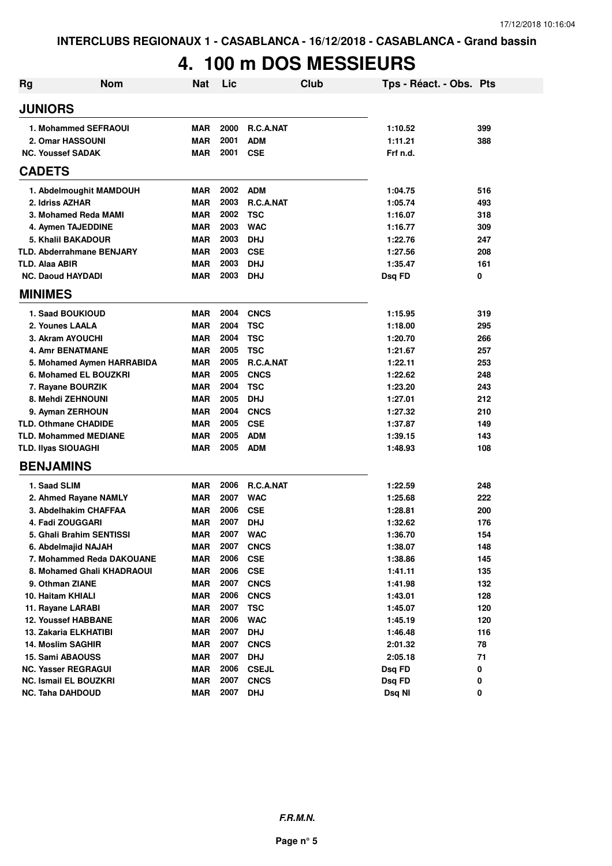### **4. 100 m DOS MESSIEURS**

| Rg | <b>Nom</b>                               | <b>Nat</b>               | Lic          | <b>Club</b>                    | Tps - Réact. - Obs. Pts |            |
|----|------------------------------------------|--------------------------|--------------|--------------------------------|-------------------------|------------|
|    | <b>JUNIORS</b>                           |                          |              |                                |                         |            |
|    | 1. Mohammed SEFRAOUI<br>2. Omar HASSOUNI | <b>MAR</b><br><b>MAR</b> | 2000<br>2001 | <b>R.C.A.NAT</b><br><b>ADM</b> | 1:10.52<br>1:11.21      | 399<br>388 |
|    | <b>NC. Youssef SADAK</b>                 | <b>MAR</b>               | 2001         | <b>CSE</b>                     | Frf n.d.                |            |
|    | <b>CADETS</b>                            |                          |              |                                |                         |            |
|    | 1. Abdelmoughit MAMDOUH                  | <b>MAR</b>               | 2002         | <b>ADM</b>                     | 1:04.75                 | 516        |
|    | 2. Idriss AZHAR                          | <b>MAR</b>               | 2003         | R.C.A.NAT                      | 1:05.74                 | 493        |
|    | 3. Mohamed Reda MAMI                     | <b>MAR</b>               | 2002         | <b>TSC</b>                     | 1:16.07                 | 318        |
|    | 4. Aymen TAJEDDINE                       | <b>MAR</b>               | 2003         | <b>WAC</b>                     | 1:16.77                 | 309        |
|    | 5. Khalil BAKADOUR                       | <b>MAR</b>               | 2003         | <b>DHJ</b>                     | 1:22.76                 | 247        |
|    | <b>TLD. Abderrahmane BENJARY</b>         | <b>MAR</b>               | 2003         | <b>CSE</b>                     | 1:27.56                 | 208        |
|    | TLD. Alaa ABIR                           | <b>MAR</b>               | 2003         | <b>DHJ</b>                     | 1:35.47                 | 161        |
|    | <b>NC. Daoud HAYDADI</b>                 | <b>MAR</b>               | 2003         | DHJ                            | Dsq FD                  | 0          |
|    | <b>MINIMES</b>                           |                          |              |                                |                         |            |
|    | <b>1. Saad BOUKIOUD</b>                  | <b>MAR</b>               | 2004         | <b>CNCS</b>                    | 1:15.95                 | 319        |
|    | 2. Younes LAALA                          | <b>MAR</b>               | 2004         | <b>TSC</b>                     | 1:18.00                 | 295        |
|    | 3. Akram AYOUCHI                         | <b>MAR</b>               | 2004         | <b>TSC</b>                     | 1:20.70                 | 266        |
|    | <b>4. Amr BENATMANE</b>                  | <b>MAR</b>               | 2005         | <b>TSC</b>                     | 1:21.67                 | 257        |
|    | 5. Mohamed Aymen HARRABIDA               | <b>MAR</b>               | 2005         | R.C.A.NAT                      | 1:22.11                 | 253        |
|    | 6. Mohamed EL BOUZKRI                    | <b>MAR</b>               | 2005         | <b>CNCS</b>                    | 1:22.62                 | 248        |
|    | 7. Rayane BOURZIK                        | <b>MAR</b>               | 2004         | <b>TSC</b>                     | 1:23.20                 | 243        |
|    | 8. Mehdi ZEHNOUNI                        | <b>MAR</b>               | 2005         | <b>DHJ</b>                     | 1:27.01                 | 212        |
|    | 9. Ayman ZERHOUN                         | <b>MAR</b>               | 2004         | <b>CNCS</b>                    | 1:27.32                 | 210        |
|    | <b>TLD. Othmane CHADIDE</b>              | <b>MAR</b>               | 2005         | <b>CSE</b>                     | 1:37.87                 | 149        |
|    | <b>TLD. Mohammed MEDIANE</b>             | <b>MAR</b>               | 2005         | <b>ADM</b>                     | 1:39.15                 | 143        |
|    | <b>TLD. Ilyas SIOUAGHI</b>               | <b>MAR</b>               | 2005         | <b>ADM</b>                     | 1:48.93                 | 108        |
|    | <b>BENJAMINS</b>                         |                          |              |                                |                         |            |
|    | 1. Saad SLIM                             | <b>MAR</b>               | 2006         | <b>R.C.A.NAT</b>               | 1:22.59                 | 248        |
|    | 2. Ahmed Rayane NAMLY                    | <b>MAR</b>               | 2007         | <b>WAC</b>                     | 1:25.68                 | 222        |
|    | 3. Abdelhakim CHAFFAA                    | <b>MAR</b>               | 2006         | <b>CSE</b>                     | 1:28.81                 | 200        |
|    | 4. Fadi ZOUGGARI                         | <b>MAR</b>               | 2007         | <b>DHJ</b>                     | 1:32.62                 | 176        |
|    | 5. Ghali Brahim SENTISSI                 | <b>MAR</b>               | 2007         | <b>WAC</b>                     | 1:36.70                 | 154        |
|    | 6. Abdelmajid NAJAH                      | <b>MAR</b>               | 2007         | <b>CNCS</b>                    | 1:38.07                 | 148        |
|    | 7. Mohammed Reda DAKOUANE                | <b>MAR</b>               | 2006         | <b>CSE</b>                     | 1:38.86                 | 145        |
|    | 8. Mohamed Ghali KHADRAOUI               | <b>MAR</b>               | 2006         | <b>CSE</b>                     | 1:41.11                 | 135        |
|    | 9. Othman ZIANE                          | <b>MAR</b>               | 2007         | <b>CNCS</b>                    | 1:41.98                 | 132        |
|    | 10. Haitam KHIALI                        | <b>MAR</b>               | 2006         | <b>CNCS</b>                    | 1:43.01                 | 128        |
|    | 11. Rayane LARABI                        | <b>MAR</b>               | 2007         | <b>TSC</b>                     | 1:45.07                 | 120        |
|    | 12. Youssef HABBANE                      | <b>MAR</b>               | 2006         | <b>WAC</b>                     | 1:45.19                 | 120        |
|    | 13. Zakaria ELKHATIBI                    | <b>MAR</b>               | 2007         | <b>DHJ</b>                     | 1:46.48                 | 116        |
|    | <b>14. Moslim SAGHIR</b>                 | <b>MAR</b>               | 2007         | <b>CNCS</b>                    | 2:01.32                 | 78         |
|    | <b>15. Sami ABAOUSS</b>                  | <b>MAR</b>               | 2007         | <b>DHJ</b>                     | 2:05.18                 | 71         |
|    | <b>NC. Yasser REGRAGUI</b>               | <b>MAR</b>               | 2006         | <b>CSEJL</b>                   | Dsq FD                  | 0          |
|    | <b>NC. Ismail EL BOUZKRI</b>             | <b>MAR</b>               | 2007         | <b>CNCS</b>                    | Dsq FD                  | 0          |
|    | <b>NC. Taha DAHDOUD</b>                  | <b>MAR</b>               | 2007         | <b>DHJ</b>                     | Dsq NI                  | 0          |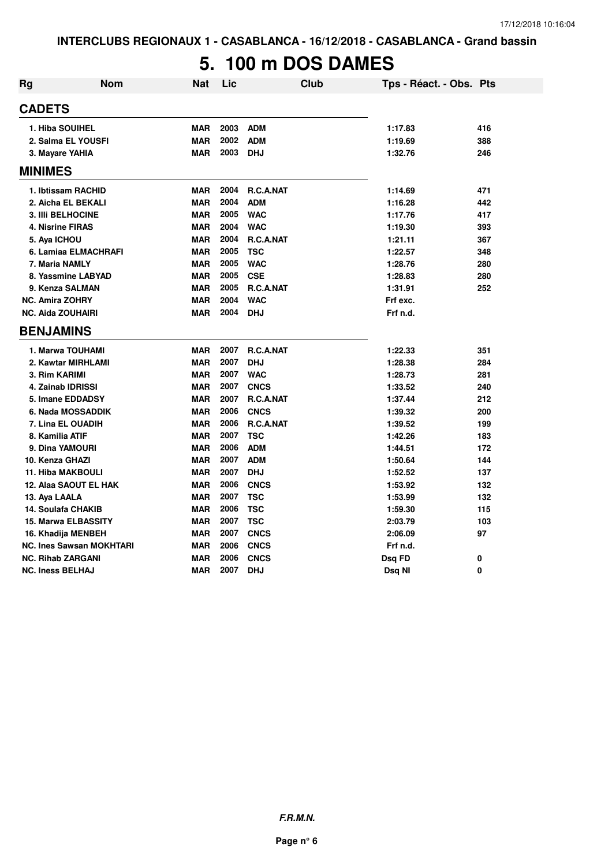# **5. 100 m DOS DAMES**

| Rg | <b>Nom</b>                      | Nat        | Lic  | <b>Club</b>      | Tps - Réact. - Obs. Pts |     |
|----|---------------------------------|------------|------|------------------|-------------------------|-----|
|    | <b>CADETS</b>                   |            |      |                  |                         |     |
|    | 1. Hiba SOUIHEL                 | <b>MAR</b> | 2003 | ADM              | 1:17.83                 | 416 |
|    | 2. Salma EL YOUSFI              | <b>MAR</b> | 2002 | <b>ADM</b>       | 1:19.69                 | 388 |
|    | 3. Mayare YAHIA                 | <b>MAR</b> | 2003 | <b>DHJ</b>       | 1:32.76                 | 246 |
|    | <b>MINIMES</b>                  |            |      |                  |                         |     |
|    | 1. Ibtissam RACHID              | <b>MAR</b> | 2004 | R.C.A.NAT        | 1:14.69                 | 471 |
|    | 2. Aicha EL BEKALI              | <b>MAR</b> | 2004 | <b>ADM</b>       | 1:16.28                 | 442 |
|    | 3. IIIi BELHOCINE               | <b>MAR</b> | 2005 | <b>WAC</b>       | 1:17.76                 | 417 |
|    | 4. Nisrine FIRAS                | <b>MAR</b> | 2004 | <b>WAC</b>       | 1:19.30                 | 393 |
|    | 5. Aya ICHOU                    | <b>MAR</b> | 2004 | R.C.A.NAT        | 1:21.11                 | 367 |
|    | 6. Lamiaa ELMACHRAFI            | <b>MAR</b> | 2005 | <b>TSC</b>       | 1:22.57                 | 348 |
|    | 7. Maria NAMLY                  | <b>MAR</b> | 2005 | <b>WAC</b>       | 1:28.76                 | 280 |
|    | 8. Yassmine LABYAD              | <b>MAR</b> | 2005 | <b>CSE</b>       | 1:28.83                 | 280 |
|    | 9. Kenza SALMAN                 | <b>MAR</b> | 2005 | R.C.A.NAT        | 1:31.91                 | 252 |
|    | <b>NC. Amira ZOHRY</b>          | <b>MAR</b> | 2004 | <b>WAC</b>       | Frf exc.                |     |
|    | <b>NC. Aida ZOUHAIRI</b>        | <b>MAR</b> | 2004 | <b>DHJ</b>       | Frf n.d.                |     |
|    | <b>BENJAMINS</b>                |            |      |                  |                         |     |
|    | 1. Marwa TOUHAMI                | <b>MAR</b> | 2007 | <b>R.C.A.NAT</b> | 1:22.33                 | 351 |
|    | 2. Kawtar MIRHLAMI              | <b>MAR</b> | 2007 | <b>DHJ</b>       | 1:28.38                 | 284 |
|    | 3. Rim KARIMI                   | <b>MAR</b> | 2007 | <b>WAC</b>       | 1:28.73                 | 281 |
|    | 4. Zainab IDRISSI               | <b>MAR</b> | 2007 | <b>CNCS</b>      | 1:33.52                 | 240 |
|    | 5. Imane EDDADSY                | <b>MAR</b> | 2007 | <b>R.C.A.NAT</b> | 1:37.44                 | 212 |
|    | 6. Nada MOSSADDIK               | <b>MAR</b> | 2006 | <b>CNCS</b>      | 1:39.32                 | 200 |
|    | 7. Lina EL OUADIH               | <b>MAR</b> | 2006 | R.C.A.NAT        | 1:39.52                 | 199 |
|    | 8. Kamilia ATIF                 | <b>MAR</b> | 2007 | <b>TSC</b>       | 1:42.26                 | 183 |
|    | 9. Dina YAMOURI                 | <b>MAR</b> | 2006 | <b>ADM</b>       | 1:44.51                 | 172 |
|    | 10. Kenza GHAZI                 | <b>MAR</b> | 2007 | <b>ADM</b>       | 1:50.64                 | 144 |
|    | <b>11. Hiba MAKBOULI</b>        | <b>MAR</b> | 2007 | <b>DHJ</b>       | 1:52.52                 | 137 |
|    | 12. Alaa SAOUT EL HAK           | <b>MAR</b> | 2006 | <b>CNCS</b>      | 1:53.92                 | 132 |
|    | 13. Aya LAALA                   | <b>MAR</b> | 2007 | <b>TSC</b>       | 1:53.99                 | 132 |
|    | 14. Soulafa CHAKIB              | <b>MAR</b> | 2006 | <b>TSC</b>       | 1:59.30                 | 115 |
|    | <b>15. Marwa ELBASSITY</b>      | <b>MAR</b> | 2007 | <b>TSC</b>       | 2:03.79                 | 103 |
|    | 16. Khadija MENBEH              | <b>MAR</b> | 2007 | <b>CNCS</b>      | 2:06.09                 | 97  |
|    | <b>NC. Ines Sawsan MOKHTARI</b> | <b>MAR</b> | 2006 | <b>CNCS</b>      | Frf n.d.                |     |
|    | <b>NC. Rihab ZARGANI</b>        | <b>MAR</b> | 2006 | <b>CNCS</b>      | Dsq FD                  | 0   |
|    | <b>NC. Iness BELHAJ</b>         | <b>MAR</b> | 2007 | <b>DHJ</b>       | Dsq NI                  | 0   |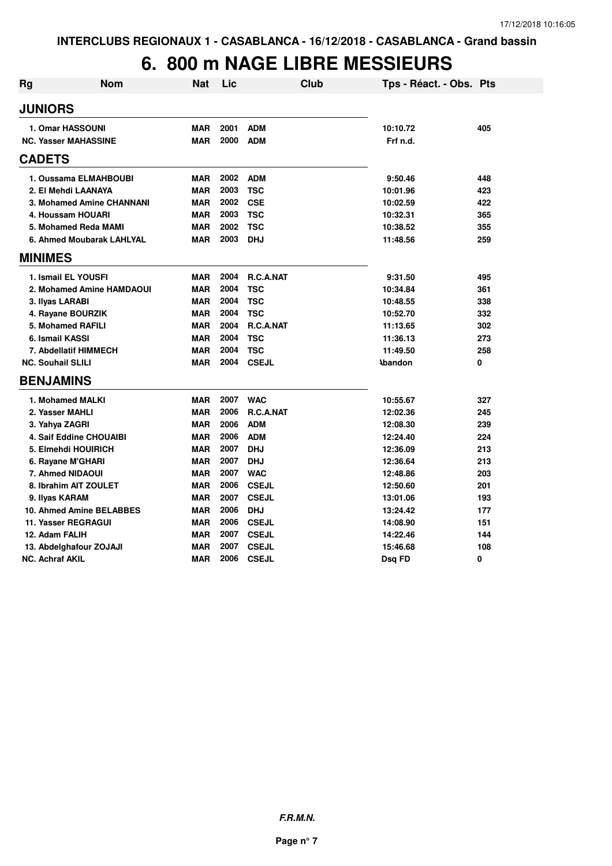# **6. 800 m NAGE LIBRE MESSIEURS**

| <b>Rg</b> | <b>Nom</b>                     | <b>Nat</b> | Lic  | <b>Club</b>  | Tps - Réact. - Obs. Pts |     |
|-----------|--------------------------------|------------|------|--------------|-------------------------|-----|
|           | <b>JUNIORS</b>                 |            |      |              |                         |     |
|           | 1. Omar HASSOUNI               | <b>MAR</b> | 2001 | <b>ADM</b>   | 10:10.72                | 405 |
|           | <b>NC. Yasser MAHASSINE</b>    | <b>MAR</b> | 2000 | <b>ADM</b>   | Frf n.d.                |     |
|           | <b>CADETS</b>                  |            |      |              |                         |     |
|           | 1. Oussama ELMAHBOUBI          | <b>MAR</b> | 2002 | <b>ADM</b>   | 9:50.46                 | 448 |
|           | 2. El Mehdi LAANAYA            | <b>MAR</b> | 2003 | <b>TSC</b>   | 10:01.96                | 423 |
|           | 3. Mohamed Amine CHANNANI      | <b>MAR</b> | 2002 | <b>CSE</b>   | 10:02.59                | 422 |
|           | 4. Houssam HOUARI              | <b>MAR</b> | 2003 | <b>TSC</b>   | 10:32.31                | 365 |
|           | 5. Mohamed Reda MAMI           | <b>MAR</b> | 2002 | <b>TSC</b>   | 10:38.52                | 355 |
|           | 6. Ahmed Moubarak LAHLYAL      | <b>MAR</b> | 2003 | <b>DHJ</b>   | 11:48.56                | 259 |
|           | <b>MINIMES</b>                 |            |      |              |                         |     |
|           | 1. Ismail EL YOUSFI            | <b>MAR</b> | 2004 | R.C.A.NAT    | 9:31.50                 | 495 |
|           | 2. Mohamed Amine HAMDAOUI      | <b>MAR</b> | 2004 | <b>TSC</b>   | 10:34.84                | 361 |
|           | 3. Ilyas LARABI                | <b>MAR</b> | 2004 | <b>TSC</b>   | 10:48.55                | 338 |
|           | 4. Rayane BOURZIK              | <b>MAR</b> | 2004 | <b>TSC</b>   | 10:52.70                | 332 |
|           | <b>5. Mohamed RAFILI</b>       | <b>MAR</b> | 2004 | R.C.A.NAT    | 11:13.65                | 302 |
|           | 6. Ismail KASSI                | <b>MAR</b> | 2004 | <b>TSC</b>   | 11:36.13                | 273 |
|           | 7. Abdellatif HIMMECH          | <b>MAR</b> | 2004 | <b>TSC</b>   | 11:49.50                | 258 |
|           | <b>NC. Souhail SLILI</b>       | <b>MAR</b> | 2004 | <b>CSEJL</b> | <b>Abandon</b>          | 0   |
|           | <b>BENJAMINS</b>               |            |      |              |                         |     |
|           | 1. Mohamed MALKI               | <b>MAR</b> |      | 2007 WAC     | 10:55.67                | 327 |
|           | 2. Yasser MAHLI                | <b>MAR</b> | 2006 | R.C.A.NAT    | 12:02.36                | 245 |
|           | 3. Yahya ZAGRI                 | <b>MAR</b> | 2006 | <b>ADM</b>   | 12:08.30                | 239 |
|           | <b>4. Saif Eddine CHOUAIBI</b> | <b>MAR</b> | 2006 | <b>ADM</b>   | 12:24.40                | 224 |
|           | 5. Elmehdi HOUIRICH            | <b>MAR</b> | 2007 | <b>DHJ</b>   | 12:36.09                | 213 |
|           | 6. Rayane M'GHARI              | <b>MAR</b> | 2007 | <b>DHJ</b>   | 12:36.64                | 213 |
|           | 7. Ahmed NIDAOUI               | <b>MAR</b> | 2007 | <b>WAC</b>   | 12:48.86                | 203 |
|           | 8. Ibrahim AIT ZOULET          | <b>MAR</b> | 2006 | <b>CSEJL</b> | 12:50.60                | 201 |
|           | 9. Ilyas KARAM                 | <b>MAR</b> | 2007 | <b>CSEJL</b> | 13:01.06                | 193 |
|           | 10. Ahmed Amine BELABBES       | <b>MAR</b> | 2006 | <b>DHJ</b>   | 13:24.42                | 177 |
|           | <b>11. Yasser REGRAGUI</b>     | <b>MAR</b> | 2006 | <b>CSEJL</b> | 14:08.90                | 151 |
|           | 12. Adam FALIH                 | <b>MAR</b> | 2007 | <b>CSEJL</b> | 14:22.46                | 144 |
|           | 13. Abdelghafour ZOJAJI        | <b>MAR</b> | 2007 | <b>CSEJL</b> | 15:46.68                | 108 |
|           | <b>NC. Achraf AKIL</b>         | <b>MAR</b> | 2006 | <b>CSEJL</b> | Dsq FD                  | 0   |